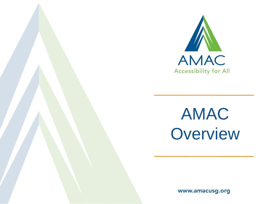

AMAC **Overview** 

www.amacusg.org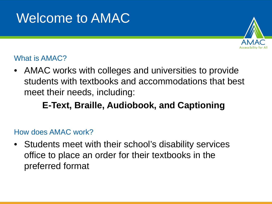# Welcome to AMAC



#### What is AMAC?

• AMAC works with colleges and universities to provide students with textbooks and accommodations that best meet their needs, including:

#### **E-Text, Braille, Audiobook, and Captioning**

#### How does AMAC work?

• Students meet with their school's disability services office to place an order for their textbooks in the preferred format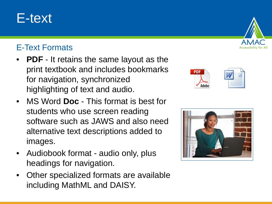## E-text

#### E-Text Formats

- **PDF** It retains the same layout as the print textbook and includes bookmarks for navigation, synchronized highlighting of text and audio.
- MS Word **Doc** This format is best for students who use screen reading software such as JAWS and also need alternative text descriptions added to images.
- Audiobook format audio only, plus headings for navigation.
- Other specialized formats are available including MathML and DAISY.





PDF

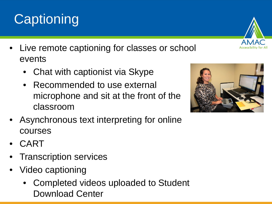- Live remote captioning for classes or school events
	- Chat with captionist via Skype
	- Recommended to use external microphone and sit at the front of the classroom
- Asynchronous text interpreting for online courses
- CART
- Transcription services
- Video captioning
	- Completed videos uploaded to Student Download Center





# **Captioning**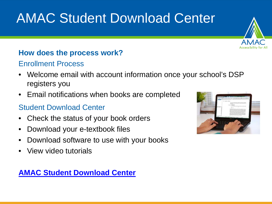# AMAC Student Download Center

#### **How does the process work?**

#### Enrollment Process

- Welcome email with account information once your school's DSP registers you
- Email notifications when books are completed

#### Student Download Center

- Check the status of your book orders
- Download your e-textbook files
- Download software to use with your books
- View video tutorials

#### **[AMAC Student Download Center](https://amacusg.org/studentcenter.php)**



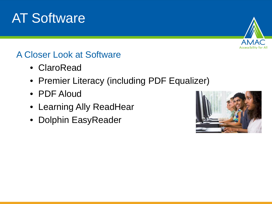# AT Software



#### A Closer Look at Software

- ClaroRead
- Premier Literacy (including PDF Equalizer)
- PDF Aloud
- Learning Ally ReadHear
- Dolphin EasyReader

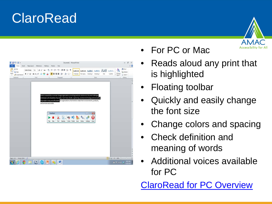## ClaroRead



- For PC or Mac
- Reads aloud any print that is highlighted
- Floating toolbar
- Quickly and easily change the font size
- Change colors and spacing
- Check definition and meaning of words
- Additional voices available for PC

ClaroRead [for PC Overview](http://www.amac.gatech.edu/wiki/index.php/ClaroRead_for_PC)

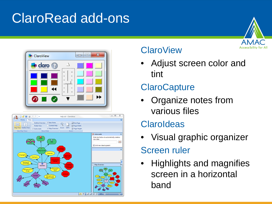# ClaroRead add-ons





| 日啓日 身のかう<br>Home<br><b>View</b>                                                                                                                  | help oid - Clarolideas                                                                                                                                                                                                                                        | $= 10$<br>宜<br>ø                                                                                                                                                |
|--------------------------------------------------------------------------------------------------------------------------------------------------|---------------------------------------------------------------------------------------------------------------------------------------------------------------------------------------------------------------------------------------------------------------|-----------------------------------------------------------------------------------------------------------------------------------------------------------------|
| Outline Overview<br>÷<br>lФ<br>Folder View<br>Map Wew Outline Wew<br><b><i>V</i></b> Autocreate<br><b>Idea Map Views</b><br><b>ShowiHide</b>     | V Idea Neter<br>Che Page<br>Contest Help<br>SB Page Width<br>Zoom 100%<br><b>Hill Page Height</b><br>V Mag Overview<br><b>Zoom</b>                                                                                                                            |                                                                                                                                                                 |
| 温<br>÷<br>dry to a tide<br>oning together<br>Osstigner<br>Restrigand<br>Money saws<br>o<br><b>Stations</b><br>Editingmeraktion<br><b>Elamano</b> | ē,<br>hengrafia<br>Sila of Gell<br>Економи<br><b>AMOUNTED</b><br>of Passac Pain<br>Manuskanaad<br>Thursday<br><b>Changing Bid</b><br><b>Parties of East</b><br>anders per<br>Changingthe<br>- Taylor<br><b>Las kind</b><br>Makingsha map<br>bigger or smaller | <b>C</b> Autocreate<br>×<br>Enter text below to automatically create a<br>new idea:<br>÷<br>Unknew idea to parent<br>×<br>- Map Dverview<br><b>South</b><br>$=$ |
|                                                                                                                                                  |                                                                                                                                                                                                                                                               | 日にした「これ<br>$MS = 1.11$<br>$\bullet$                                                                                                                             |

#### **ClaroView**

• Adjust screen color and tint

### **ClaroCapture**

• Organize notes from various files

### **ClaroIdeas**

• Visual graphic organizer

## Screen ruler

• Highlights and magnifies screen in a horizontal band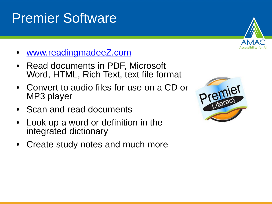# Premier Software

- [www.readingmadeeZ.com](http://www.readingmadeez.com/)
- Read documents in PDF, Microsoft Word, HTML, Rich Text, text file format
- Convert to audio files for use on a CD or MP3 player
- Scan and read documents
- Look up a word or definition in the integrated dictionary
- Create study notes and much more



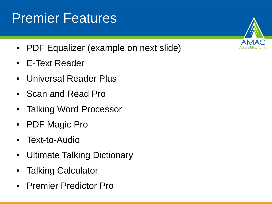# Premier Features

- PDF Equalizer (example on next slide)
- E-Text Reader
- Universal Reader Plus
- Scan and Read Pro
- **Talking Word Processor**
- PDF Magic Pro
- Text-to-Audio
- Ultimate Talking Dictionary
- Talking Calculator
- Premier Predictor Pro

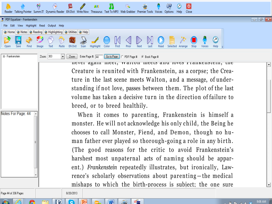|      |                                                                                                                                           |       | ۶             | M              | - II | <b>ABC</b>      | - 53  |       | 窭            |      | 99       | $\overline{\circ}$<br>$\bullet$ |                           |                |  |  |  |
|------|-------------------------------------------------------------------------------------------------------------------------------------------|-------|---------------|----------------|------|-----------------|-------|-------|--------------|------|----------|---------------------------------|---------------------------|----------------|--|--|--|
|      | Reader Talking Pointer Summ IT Dynamic Reader EN Dict Write Now Thesaurus Text To MP3 Web Grabber Premier Tools Voices Options Help Close |       |               |                |      |                 |       |       |              |      |          |                                 |                           |                |  |  |  |
|      | 号 PDF Equalizer - Frankenstein                                                                                                            |       |               |                |      |                 |       |       |              |      |          |                                 |                           |                |  |  |  |
|      | File Edit View Highlight Read Output Help                                                                                                 |       |               |                |      |                 |       |       |              |      |          |                                 |                           |                |  |  |  |
|      | > Home   > Notes   > Reading   > Highlighting   > Utilities   > Help                                                                      |       |               |                |      |                 |       |       |              |      |          |                                 |                           |                |  |  |  |
|      | <b>BE400002/OK4D</b>                                                                                                                      |       |               |                |      |                 |       |       | $\mathbb{N}$ |      | - 自 一次 - |                                 |                           | $\circledcirc$ |  |  |  |
| Open | Save<br>Find                                                                                                                              | Image | Text<br>Paste | <b>EN Dict</b> | Scan | Highlight Color | First | Prior | Next<br>Last | Read |          | Selected Arrange Stop           | Voices Help $\frac{1}{2}$ |                |  |  |  |
|      |                                                                                                                                           |       |               |                |      |                 |       |       |              |      |          |                                 |                           |                |  |  |  |

Zoom: 303 Go to Page | C PDF Page # @ Book Page # 田… Frankenstein Zoom Enter Page #: 44

> never again meet, waiton meets and loves riamvenstem, the Creature is reunited with Frankenstein, as a corpse; the Creature in the last scene meets Walton, and a message, of understanding if not love, passes between them. The plot of the last volume has taken a decisive turn in the direction of failure to breed, or to breed healthily.

> When it comes to parenting, Frankenstein is himself a monster. He will not acknowledge his only child, the Being he chooses to call Monster, Fiend, and Demon, though no human father ever played so thorough-going a role in any birth. (The good reasons for the critic to avoid Frankenstein's harshest most unpaternal acts of naming should be apparent.) Frankenstein repeatedly illustrates, but ironically, Lawrence's scholarly observations about parenting-the medical mishaps to which the birth-process is subject; the one sure

8/20/2013

Q

 $|\mathbf{W}|$ 

premier

神宮

Notes For Page: 44

Page 44 of 336 Pages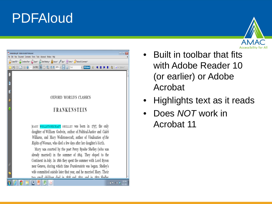## PDFAloud

| Frankenstein.pdf - Adobe Acrobat Professional<br>$\blacksquare$                                                                                                                                                                                                                                                                                                                                                                                                                                                                                                                                                                                                                           |  |
|-------------------------------------------------------------------------------------------------------------------------------------------------------------------------------------------------------------------------------------------------------------------------------------------------------------------------------------------------------------------------------------------------------------------------------------------------------------------------------------------------------------------------------------------------------------------------------------------------------------------------------------------------------------------------------------------|--|
| File Edit View Document Comments Forms Tools Advanced Window Help                                                                                                                                                                                                                                                                                                                                                                                                                                                                                                                                                                                                                         |  |
| Create PDF * 5 Combine Files * C Export * 3 Start Meeting * 1 Secure * 5gn * Florms * P Review & Comment *                                                                                                                                                                                                                                                                                                                                                                                                                                                                                                                                                                                |  |
| $(1 of 336)$ <b>IN</b><br>$(1)$ $(2)$ $(3)$ $(2)$ $(2)$ $(3)$ $(4)$<br><b>R</b> Find<br>$\bullet$ Options<br>PDFaloud<br>ŵ.                                                                                                                                                                                                                                                                                                                                                                                                                                                                                                                                                               |  |
| U                                                                                                                                                                                                                                                                                                                                                                                                                                                                                                                                                                                                                                                                                         |  |
| ľ                                                                                                                                                                                                                                                                                                                                                                                                                                                                                                                                                                                                                                                                                         |  |
| И                                                                                                                                                                                                                                                                                                                                                                                                                                                                                                                                                                                                                                                                                         |  |
| OXFORD WORLD'S CLASSICS<br>$\bullet$                                                                                                                                                                                                                                                                                                                                                                                                                                                                                                                                                                                                                                                      |  |
| $\overline{\mathbf{0}}$<br>FRANKENSTEIN                                                                                                                                                                                                                                                                                                                                                                                                                                                                                                                                                                                                                                                   |  |
| MARY WOLLSTONECRAFT SHELLEY Was born in 1797, the only<br>daughter of William Godwin, author of Political Justice and Caleb<br>Williams, and Mary Wollstonecraft, author of Vindication of the<br>Rights of Woman, who died a few days after her daughter's birth.<br>Mary was courted by the poet Percy Bysshe Shelley (who was<br>already married) in the summer of 1814. They eloped to the<br>Continent in July. In 1816 they spent the summer with Lord Byron<br>O<br>near Geneva, during which time Frankenstein was begun. Shelley's<br>wife committed suicide later that year, and he married Mary. Their<br>fe<br>ture emall children died in 1818 and 1810 and in 1800 Chelleur |  |
| 202 PI<br>4 前半 2 0 名                                                                                                                                                                                                                                                                                                                                                                                                                                                                                                                                                                                                                                                                      |  |



- Built in toolbar that fits with Adobe Reader 10 (or earlier) or Adobe Acrobat
- Highlights text as it reads
- Does *NOT* work in Acrobat 11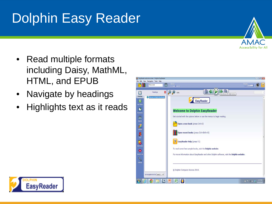# Dolphin Easy Reader



- Read multiple formats including Daisy, MathML, HTML, and EPUB
- Navigate by headings
- Highlights text as it reads



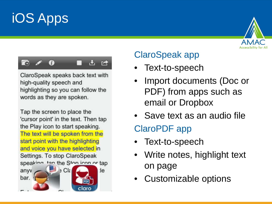# iOS Apps





ClaroSpeak speaks back text with high-quality speech and highlighting so you can follow the words as they are spoken.

Tap the screen to place the 'cursor point' in the text. Then tap the Play icon to start speaking. The text will be spoken from the start point with the highlighting and voice you have selected in Settings. To stop ClaroSpeak speaking tan the Ston icon or tap



### ClaroSpeak app

- Text-to-speech
- Import documents (Doc or PDF) from apps such as email or Dropbox
- Save text as an audio file

### ClaroPDF app

- Text-to-speech
- Write notes, highlight text on page
- Customizable options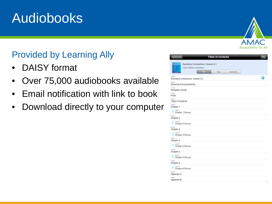## Audiobooks

### Provided by Learning Ally

- DAISY format
- Over 75,000 audiobooks available
- Email notification with link to book
- Download directly to your computer



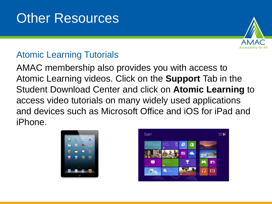## Other Resources



#### Atomic Learning Tutorials

AMAC membership also provides you with access to Atomic Learning videos. Click on the **Support** Tab in the Student Download Center and click on **Atomic Learning** to access video tutorials on many widely used applications and devices such as Microsoft Office and iOS for iPad and iPhone.